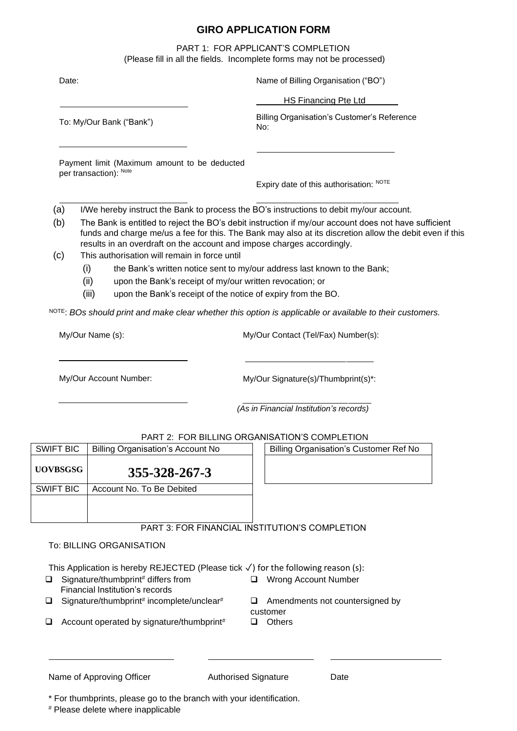# **GIRO APPLICATION FORM**

PART 1: FOR APPLICANT'S COMPLETION (Please fill in all the fields. Incomplete forms may not be processed)

| Date:                                                                                              |                                                                                                                                  |                                                                                                                                                 | Name of Billing Organisation ("BO")                                                                                                                                                                                                                                                       |
|----------------------------------------------------------------------------------------------------|----------------------------------------------------------------------------------------------------------------------------------|-------------------------------------------------------------------------------------------------------------------------------------------------|-------------------------------------------------------------------------------------------------------------------------------------------------------------------------------------------------------------------------------------------------------------------------------------------|
|                                                                                                    |                                                                                                                                  |                                                                                                                                                 | <b>HS Financing Pte Ltd</b>                                                                                                                                                                                                                                                               |
| To: My/Our Bank ("Bank")<br>Payment limit (Maximum amount to be deducted<br>per transaction): Note |                                                                                                                                  | Billing Organisation's Customer's Reference<br>No:                                                                                              |                                                                                                                                                                                                                                                                                           |
|                                                                                                    |                                                                                                                                  |                                                                                                                                                 |                                                                                                                                                                                                                                                                                           |
|                                                                                                    |                                                                                                                                  |                                                                                                                                                 | Expiry date of this authorisation: NOTE                                                                                                                                                                                                                                                   |
| (a)                                                                                                |                                                                                                                                  |                                                                                                                                                 | I/We hereby instruct the Bank to process the BO's instructions to debit my/our account.                                                                                                                                                                                                   |
| (b)                                                                                                |                                                                                                                                  |                                                                                                                                                 | The Bank is entitled to reject the BO's debit instruction if my/our account does not have sufficient<br>funds and charge me/us a fee for this. The Bank may also at its discretion allow the debit even if this<br>results in an overdraft on the account and impose charges accordingly. |
| (c)                                                                                                | This authorisation will remain in force until<br>(i)<br>the Bank's written notice sent to my/our address last known to the Bank; |                                                                                                                                                 |                                                                                                                                                                                                                                                                                           |
|                                                                                                    |                                                                                                                                  |                                                                                                                                                 |                                                                                                                                                                                                                                                                                           |
| (ii)<br>(iii)                                                                                      | upon the Bank's receipt of my/our written revocation; or<br>upon the Bank's receipt of the notice of expiry from the BO.         |                                                                                                                                                 |                                                                                                                                                                                                                                                                                           |
| My/Our Name (s):                                                                                   |                                                                                                                                  | NOTE: BOs should print and make clear whether this option is applicable or available to their customers.<br>My/Our Contact (Tel/Fax) Number(s): |                                                                                                                                                                                                                                                                                           |
| My/Our Account Number:                                                                             |                                                                                                                                  | My/Our Signature(s)/Thumbprint(s)*:                                                                                                             |                                                                                                                                                                                                                                                                                           |
|                                                                                                    |                                                                                                                                  |                                                                                                                                                 | (As in Financial Institution's records)                                                                                                                                                                                                                                                   |
|                                                                                                    |                                                                                                                                  |                                                                                                                                                 | PART 2: FOR BILLING ORGANISATION'S COMPLETION                                                                                                                                                                                                                                             |
| <b>SWIFT BIC</b>                                                                                   | <b>Billing Organisation's Account No</b>                                                                                         |                                                                                                                                                 | <b>Billing Organisation's Customer Ref No</b>                                                                                                                                                                                                                                             |
| <b>UOVBSGSG</b>                                                                                    | 355-328-267-3                                                                                                                    |                                                                                                                                                 |                                                                                                                                                                                                                                                                                           |
| <b>SWIFT BIC</b>                                                                                   | Account No. To Be Debited                                                                                                        |                                                                                                                                                 |                                                                                                                                                                                                                                                                                           |
|                                                                                                    |                                                                                                                                  |                                                                                                                                                 |                                                                                                                                                                                                                                                                                           |
|                                                                                                    |                                                                                                                                  |                                                                                                                                                 | PART 3: FOR FINANCIAL INSTITUTION'S COMPLETION                                                                                                                                                                                                                                            |

# To: BILLING ORGANISATION

This Application is hereby REJECTED (Please tick ✓) for the following reason (s):

- ❑ Signature/thumbprint# differs from Financial Institution's records
- $\Box$  Signature/thumbprint# incomplete/unclear#
- ❑ Wrong Account Number
- 
- ❑ Account operated by signature/thumbprint# ❑ Others
- □ Amendments not countersigned by customer
- 

# Name of Approving Officer **Authorised Signature** Date

\* For thumbprints, please go to the branch with your identification.

# Please delete where inapplicable